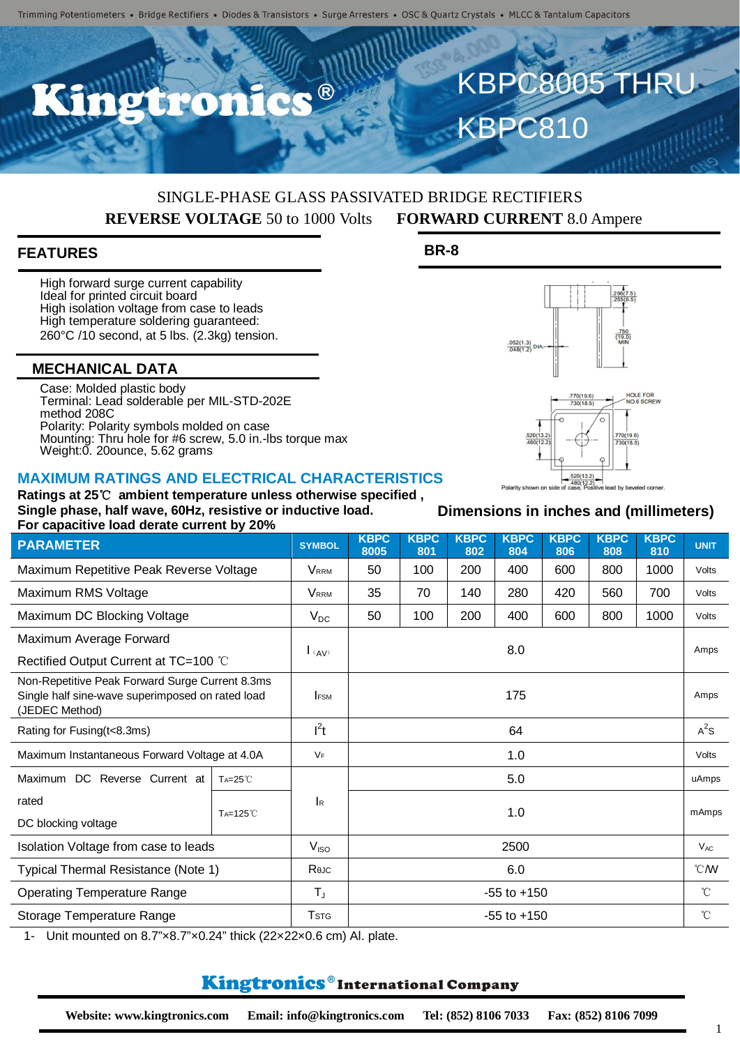# SINGLE-PHASE GLASS PASSIVATED BRIDGE RECTIFIERS **REVERSE VOLTAGE** 50 to 1000 Volts **FORWARD CURRENT** 8.0 Ampere

## **FEATURES**

High forward surge current capability Ideal for printed circuit board High isolation voltage from case to leads High temperature soldering guaranteed: 260°C /10 second, at 5 lbs. (2.3kg) tension.

### **MECHANICAL DATA**

Case: Molded plastic body Terminal: Lead solderable per MIL-STD-202E method 208C Polarity: Polarity symbols molded on case Mounting: Thru hole for #6 screw, 5.0 in.-lbs torque max Weight:0. 20ounce, 5.62 grams

#### **MAXIMUM RATINGS AND ELECTRICAL CHARACTERISTICS**

#### **Ratings at 25**℃ **ambient temperature unless otherwise specified , Single phase, half wave, 60Hz, resistive or inductive load. For capacitive load derate current by 20%**

**PARAMETER SYMBOL KBPC** 

Maximum Repetitive Peak Reverse Voltage  $\vert$  VRRM  $\vert$  50  $\vert$  100  $\vert$  200  $\vert$  400  $\vert$  600  $\vert$  800  $\vert$  1000  $\vert$  Volts Maximum RMS Voltage **Value 10 125 120 140 140 1280 1280 1280** 1200 120ts Maximum DC Blocking Voltage  $V_{DC}$  | 50 | 100 | 200 | 400 | 600 | 800 | 1000 | Volts Maximum Average Forward Rectified Output Current at TC=100 ℃ I(AV) 8.0 Amps Non-Repetitive Peak Forward Surge Current 8.3ms Single half sine-wave superimposed on rated load (JEDEC Method) I<sub>FSM</sub> Amps Rating for Fusing(t<8.3ms)  $I^2t$ t  $64$  A Maximum Instantaneous Forward Voltage at 4.0A  $\vert$  VF  $\vert$  1.0 1.0 Volts Maximum DC Reverse Current at rated DC blocking voltage TA=25℃ IR 5.0 uAmps TA=125℃ 1.0 mAmps Isolation Voltage from case to leads  $\vert$  V<sub>ISO</sub>  $\vert$  V<sub>ISO</sub> 2500 VAC

**8005**

**KBPC 801**

**KBPC 802**

**KBPC 804**

1- Unit mounted on 8.7"×8.7"×0.24" thick (22×22×0.6 cm) Al. plate.

# Kingtronics®International Company

Typical Thermal Resistance (Note 1) **R**θJC **R**θ **R**θJC **6.0** 6.0 **Γ** © *W* Operating Temperature Range T<sub>J</sub> F<sub>J</sub>  $\vert$  T<sub>J</sub>  $\vert$  55 to +150  $\vert$  ℃ Storage Temperature Range  $\vert$  TsTG  $\vert$  TsTG  $\vert$  55 to +150  $\vert$  ℃

#### 1

KBPC810

**BR-8**



KBPC8005 THRU

**KBPC 806**

**Dimensions in inches and (millimeters)**

**KBPC 808**

**KBPC**

**<sup>810</sup> UNIT**

 $^2$ s